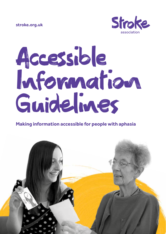**stroke.org.uk**



# Accessible Information Guidelines

#### **Making information accessible for people with aphasia**

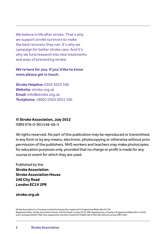We believe in life after stroke. That's why we support stroke survivors to make the best recovery they can. It's why we campaign for better stroke care. And it's why we fund research into new treatments and ways of preventing stroke.

#### **We're here for you. If you'd like to know more please get in touch.**

**Stroke Helpline:** 0303 3033 100 **Website:** stroke.org.uk **Email:** info@stroke.org.uk **Textphone:** 18001 0303 3033 100

#### **© Stroke Association, July 2012**

ISBN 978-0-901548-66-5

All rights reserved. No part of this publication may be reproduced or transmitted, in any form or by any means, electronic, photocopying or otherwise without prior permission of the publishers. NHS workers and teachers may make photocopies for education purposes only, provided that no charge or profit is made for any course or event for which they are used.

Published by the **Stroke Association Stroke Association House 240 City Road London EC1V 2PR**

**stroke.org.uk**

Stroke Association is a Company Limited by Guarantee, registered in England and Wales (No 61274). Registered office: Stroke Association House, 240 City Road, London EC1V 2PR. Registered as a Charity in England and Wales (No 211015) and in Scotland (SC037789). Also registered in Northern Ireland (XT33805) Isle of Man (No 945) and Jersey (NPO 369).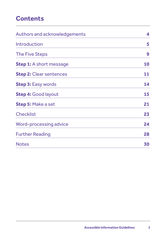# **Contents**

| <b>Authors and acknowledgements</b> | 4  |
|-------------------------------------|----|
| Introduction                        | 5  |
| <b>The Five Steps</b>               | 9  |
| <b>Step 1:</b> A short message      | 10 |
| <b>Step 2: Clear sentences</b>      | 11 |
| <b>Step 3: Easy words</b>           | 14 |
| <b>Step 4: Good layout</b>          | 15 |
| <b>Step 5: Make a set</b>           | 21 |
| <b>Checklist</b>                    | 23 |
| <b>Word-processing advice</b>       | 24 |
| <b>Further Reading</b>              | 28 |
| <b>Notes</b>                        | 30 |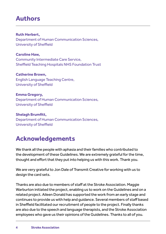# **Authors**

#### **Ruth Herbert,**

Department of Human Communication Sciences, University of Sheffield

**Caroline Haw,**  Community Intermediate Care Service, Sheffield Teaching Hospitals NHS Foundation Trust

#### **Catherine Brown,**

English Language Teaching Centre, University of Sheffield

#### **Emma Gregory,**

Department of Human Communication Sciences, University of Sheffield

#### **Shelagh Brumfitt,**

Department of Human Communication Sciences, University of Sheffield

# **Acknowledgements**

We thank all the people with aphasia and their families who contributed to the development of these Guidelines. We are extremely grateful for the time, thought and effort that they put into helping us with this work. Thank you.

We are very grateful to Jon Dale of Transmit Creative for working with us to design the card sets.

Thanks are also due to members of staff at the Stroke Association. Maggie Warburton initiated the project, enabling us to work on the Guidelines and on a related project. Aileen Donald has supported the work from an early stage and continues to provide us with help and guidance. Several members of staff based in Sheffield facilitated our recruitment of people to the project. Finally thanks are also due to the speech and language therapists, and the Stroke Association employees who gave us their opinions of the Guidelines. Thanks to all of you.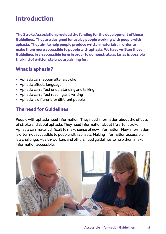## **Introduction**

**The Stroke Association provided the funding for the development of these Guidelines. They are designed for use by people working with people with aphasia. They aim to help people produce written materials, in order to make them more accessible to people with aphasia. We have written these Guidelines in an accessible form in order to demonstrate as far as is possible the kind of written style we are aiming for.**

## **What is aphasia?**

- Aphasia can happen after a stroke
- Aphasia affects language
- Aphasia can affect understanding and talking
- Aphasia can affect reading and writing
- Aphasia is different for different people

## **The need for Guidelines**

People with aphasia need information. They need information about the effects of stroke and about aphasia. They need information about life after stroke. Aphasia can make it difficult to make sense of new information. New information is often not accessible to people with aphasia. Making information accessible is a challenge. Health-workers and others need guidelines to help them make information accessible.

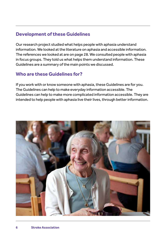### **Development of these Guidelines**

Our research project studied what helps people with aphasia understand information. We looked at the literature on aphasia and accessible information. The references we looked at are on page 28. We consulted people with aphasia in focus groups. They told us what helps them understand information. These Guidelines are a summary of the main points we discussed.

## **Who are these Guidelines for?**

If you work with or know someone with aphasia, these Guidelines are for you. The Guidelines can help to make everyday information accessible. The Guidelines can help to make more complicated information accessible. They are intended to help people with aphasia live their lives, through better information.

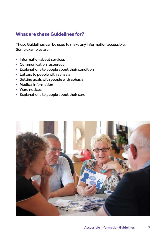### **What are these Guidelines for?**

These Guidelines can be used to make any information accessible. Some examples are:

- Information about services
- Communication resources
- Explanations to people about their condition
- Letters to people with aphasia
- Setting goals with people with aphasia
- Medical information
- Ward notices
- Explanations to people about their care

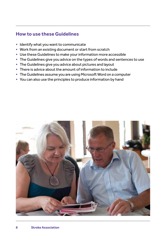#### **How to use these Guidelines**

- Identify what you want to communicate
- Work from an existing document or start from scratch
- Use these Guidelines to make your information more accessible
- The Guidelines give you advice on the types of words and sentences to use
- The Guidelines give you advice about pictures and layout
- There is advice about the amount of information to include
- The Guidelines assume you are using Microsoft Word on a computer
- You can also use the principles to produce information by hand

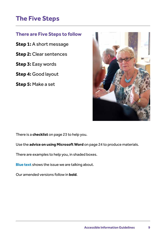# **The Five Steps**

## **There are Five Steps to follow**

**Step 1:** A short message

**Step 2:** Clear sentences

**Step 3:** Easy words

**Step 4:** Good layout

**Step 5:** Make a set



There is a **checklist** on page 23 to help you.

Use the **advice on using Microsoft Word** on page 24 to produce materials.

There are examples to help you, in shaded boxes.

**Blue text** shows the issue we are talking about.

Our amended versions follow in **bold**.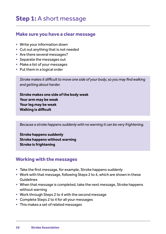# **Step 1:** A short message

#### **Make sure you have a clear message**

- Write your information down
- Cut out anything that is not needed
- Are there several messages?
- Separate the messages out
- Make a list of your messages
- Put them in a logical order

*Stroke makes it difficult to move one side of your body, so you may find walking and getting about harder.*

**Stroke makes one side of the body weak Your arm may be weak Your leg may be weak Walking is difficult**

*Because a stroke happens suddenly with no warning it can be very frightening.*

**Stroke happens suddenly Stroke happens without warning Stroke is frightening**

#### **Working with the messages**

- Take the first message, for example, Stroke happens suddenly
- Work with that message, following Steps 2 to 4, which are shown in these Guidelines
- When that message is completed, take the next message, Stroke happens without warning
- Work through Steps 2 to 4 with the second message
- Complete Steps 2 to 4 for all your messages
- This makes a set of related messages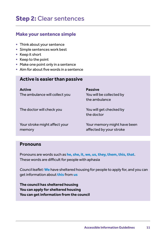# **Step 2:** Clear sentences

#### **Make your sentence simple**

- Think about your sentence
- Simple sentences work best
- Keep it short
- Keep to the point
- Make one point only in a sentence
- Aim for about five words in a sentence

#### **Active is easier than passive**

| <b>Active</b><br>The ambulance will collect you | <b>Passive</b><br>You will be collected by<br>the ambulance |
|-------------------------------------------------|-------------------------------------------------------------|
| The doctor will check you                       | You will get checked by<br>the doctor                       |
| Your stroke might affect your<br>memory         | Your memory might have been<br>affected by your stroke      |

#### **Pronouns**

Pronouns are words such as **he, she, it, we, us, they, them, this, that**. These words are difficult for people with aphasia

*Council leaflet:* **We** have sheltered housing for people to apply for, and you can get information about **this** from **us**

**The council has sheltered housing You can apply for sheltered housing You can get information from the council**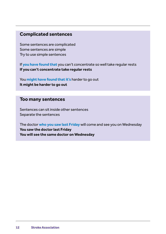#### **Complicated sentences**

Some sentences are complicated Some sentences are simple Try to use simple sentences

If **you have found that** you can't concentrate so well take regular rests **If you can't concentrate take regular rests**

You **might have found that it's** harder to go out **It might be harder to go out**

#### **Too many sentences**

Sentences can sit inside other sentences Separate the sentences

The doctor **who you saw last Friday** will come and see you on Wednesday **You saw the doctor last Friday You will see the same doctor on Wednesday**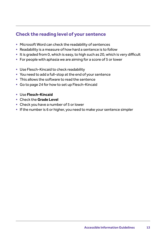## **Check the reading level of your sentence**

- Microsoft Word can check the readability of sentences
- Readability is a measure of how hard a sentence is to follow
- It is graded from 0, which is easy, to high such as 20, which is very difficult
- For people with aphasia we are aiming for a score of 5 or lower
- Use Flesch-Kincaid to check readability
- You need to add a full-stop at the end of your sentence
- This allows the software to read the sentence
- Go to page 24 for how to set up Flesch-Kincaid
- Use **Flesch-Kincaid**
- Check the **Grade Level**
- Check you have a number of 5 or lower
- If the number is 6 or higher, you need to make your sentence simpler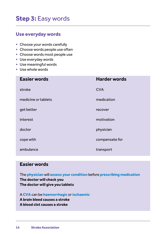# **Step 3:** Easy words

#### **Use everyday words**

- Choose your words carefully
- Choose words people use often
- Choose words most people use
- Use everyday words
- Use meaningful words
- Use whole words

| <b>Easier words</b> | <b>Harder words</b> |
|---------------------|---------------------|
| stroke              | <b>CVA</b>          |
| medicine or tablets | medication          |
| get better          | recover             |
| interest            | motivation          |
| doctor              | physician           |
| cope with           | compensate for      |
| ambulance           | transport           |

#### **Easier words**

The **physician** will **assess your condition** before **prescribing medication The doctor will check you The doctor will give you tablets**

A **CVA** can be **haemorrhagic** or **ischaemic**

- **A brain bleed causes a stroke**
- **A blood clot causes a stroke**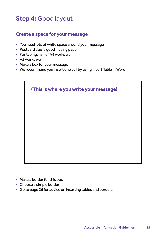# **Step 4:** Good layout

## **Create a space for your message**

- You need lots of white space around your message
- Postcard size is good if using paper
- For typing, half of A4 works well
- A5 works well
- Make a box for your message
- We recommend you insert one cell by using Insert Table in Word

| (This is where you write your message) |  |  |  |
|----------------------------------------|--|--|--|
|                                        |  |  |  |
|                                        |  |  |  |
|                                        |  |  |  |
|                                        |  |  |  |

- Make a border for this box
- Choose a simple border
- Go to page 26 for advice on inserting tables and borders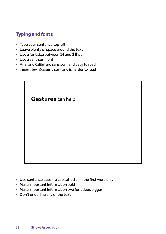## **Typing and fonts**

- Type your sentence top left
- Leave plenty of space around the text
- Use a font size between **14** and **18** pt
- Use a sans serif font
- Arial and Calibri are sans serif and easy to read
- Times New Roman is serif and is harder to read

## **Gestures** can help

- Use sentence case a capital letter in the first word only
- Make important information bold
- Make important information two font sizes bigger
- Don't underline any of the text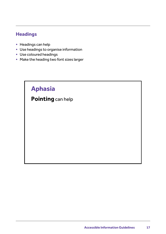## **Headings**

- Headings can help
- Use headings to organise information
- Use coloured headings
- Make the heading two font sizes larger

# **Aphasia**

## **Pointing** can help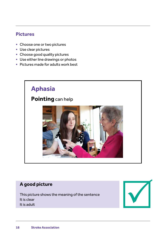#### **Pictures**

- Choose one or two pictures
- Use clear pictures
- Choose good quality pictures
- Use either line drawings or photos
- Pictures made for adults work best



## **A good picture**

This picture shows the meaning of the sentence It is clear It is adult

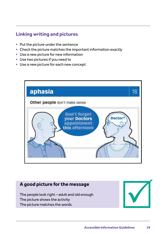## **Linking writing and pictures**

- Put the picture under the sentence
- Check the picture matches the important information exactly
- Use a new picture for new information
- Use two pictures if you need to
- Use a new picture for each new concept



#### **A good picture for the message**

The people look right – adult and old enough The picture shows the activity The picture matches the words

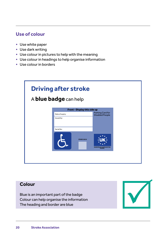#### **Use of colour**

- Use white paper
- Use dark writing
- Use colour in pictures to help with the meaning
- Use colour in headings to help organise information
- Use colour in borders

| <b>Driving after stroke</b><br>A <b>blue badge</b> can help |                              |                                             |  |  |
|-------------------------------------------------------------|------------------------------|---------------------------------------------|--|--|
|                                                             | Front - Display this side up |                                             |  |  |
|                                                             | Date of expiry:              | Parking Card for<br><b>Disabled People</b>  |  |  |
|                                                             | Issued by:                   |                                             |  |  |
|                                                             | Serial No:                   |                                             |  |  |
|                                                             | XP08E518618                  | <b>EUROPEAN COMMUNITIES</b><br><b>MODEL</b> |  |  |
|                                                             |                              |                                             |  |  |

## **Colour**

Blue is an important part of the badge Colour can help organise the information The heading and border are blue

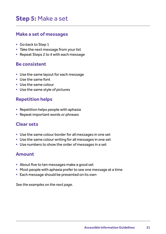# **Step 5:** Make a set

#### **Make a set of messages**

- Go back to Step 1
- Take the next message from your list
- Repeat Steps 2 to 4 with each message

#### **Be consistent**

- Use the same layout for each message
- Use the same font
- Use the same colour
- Use the same style of pictures

#### **Repetition helps**

- Repetition helps people with aphasia
- Repeat important words or phrases

#### **Clear sets**

- Use the same colour border for all messages in one set
- Use the same colour writing for all messages in one set
- Use numbers to show the order of messages in a set

#### **Amount**

- About five to ten messages make a good set
- Most people with aphasia prefer to see one message at a time
- Each message should be presented on its own

*See the examples on the next page.*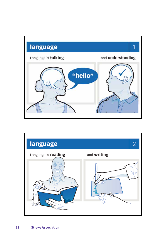

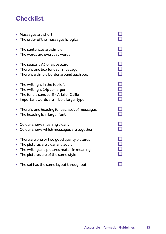# **Checklist**

| • Messages are short<br>• The order of the messages is logical                                                                                                        |             |
|-----------------------------------------------------------------------------------------------------------------------------------------------------------------------|-------------|
| The sentences are simple<br>• The words are everyday words                                                                                                            |             |
| The space is A5 or a postcard<br>$\bullet$<br>• There is one box for each message<br>There is a simple border around each box                                         | 0<br>0<br>0 |
| • The writing is in the top left<br>• The writing is 14pt or larger<br>• The font is sans serif - Arial or Calibri<br>Important words are in bold larger type         | 8888        |
| • There is one heading for each set of messages<br>The heading is in larger font                                                                                      |             |
| • Colour shows meaning clearly<br>Colour shows which messages are together                                                                                            | $\Box$      |
| • There are one or two good quality pictures<br>The pictures are clear and adult<br>• The writing and pictures match in meaning<br>The pictures are of the same style | 0000<br>000 |
| • The set has the same layout throughout                                                                                                                              |             |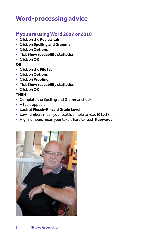## **Word-processing advice**

#### **If you are using Word 2007 or 2010**

- Click on the **Review tab**
- Click on **Spelling and Grammar**
- Click on **Options**
- Tick **Show readability statistics**
- Click on **OK**

#### **OR**

- Click on the **File** tab
- Click on **Options**
- Click on **Proofing**
- Tick **Show readability statistics**
- Click on **OK**

#### **THEN**

- Complete the Spelling and Grammar check
- A table appears
- Look at **Flesch-Kincaid Grade Level**
- Low numbers mean your text is simple to read (**0 to 5)**
- High numbers mean your text is hard to read (**6 upwards)**

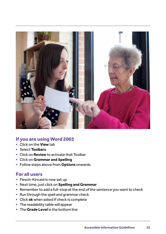

#### **If you are using Word 2003**

- Click on the **View** tab
- Select **Toolbars**
- Click on **Review** to activate that Toolbar
- Click on **Grammar and Spelling**
- Follow steps above from **Options** onwards

#### **For all users**

- Flesch-Kincaid is now set up
- Next time, just click on **Spelling and Grammar**
- Remember to add a full-stop at the end of the sentence you want to check
- Run through the spell and grammar check
- Click **ok** when asked if check is complete
- The readability table will appear
- The **Grade Level** is the bottom line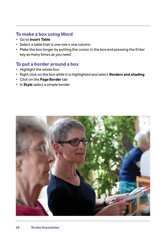#### **To make a box using Word**

- Go to **Insert Table**
- Select a table that is one row x one column
- Make the box longer by putting the cursor in the box and pressing the Enter key as many times as you need

## **To put a border around a box**

- Highlight the whole box
- Right click on the box while it is highlighted and select **Borders and shading**
- Click on the **Page Border** tab
- In **Style** select a simple border

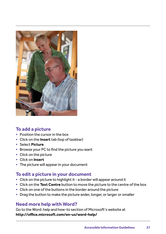

#### **To add a picture**

- Position the cursor in the box
- Click on the **Insert** tab (top of taskbar)
- Select **Picture**
- Browse your PC to find the picture you want
- Click on the picture
- Click on **Insert**
- The picture will appear in your document

#### **To edit a picture in your document**

- Click on the picture to highlight it a border will appear around it
- Click on the **Text Centre** button to move the picture to the centre of the box
- Click on one of the buttons in the border around the picture
- Drag the button to make the picture wider, longer, or larger or smaller

#### **Need more help with Word?**

Go to the Word: help and how-to section of Microsoft's website at **http://office.microsoft.com/en-us/word-help/**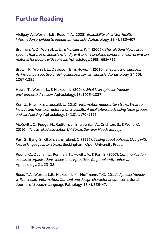# **Further Reading**

Aleligay, A., Worrall, L.E., Rose, T.A. (2008). *Readability of written health information provided to people with aphasia.* Aphasiology, 22(4), 383–407.

Brennan, A. D., Worrall, L. E., & McKenna, K. T. (2005). *The relationship between specific features of aphasia-friendly written material and comprehension of written material for people with aphasia.* Aphasiology, 19(8), 693–711.

Brown, K., Worrall, L., Davidson, B., & Howe, T. (2010). *Snapshots of success: An insider perspective on living successfully with aphasia.* Aphasiology, 24(10), 1267-1295.

Howe, T., Worrall, L., & Hickson, L. (2004). *What is an aphasia-friendly environment? A review.* Aphasiology, 18, 1015–1037.

Kerr, J., Hilari, K & Litosselti, L. (2010). *Information needs after stroke: What to include and how to structure it on a website. A qualitative study using focus groups and card sorting.* Aphasiology, 24(10), 1170-1196.

McKevitt, C., Fudge, N., Redfern, J., Sheldenkar, A., Crichton, S., & Wolfe, C. (2010). *The Stroke Association UK Stroke Survivor Needs Survey.*

Parr, S., Byng, S., Gilpin, S., & Ireland, C. (1997). *Talking about aphasia: Living with loss of language after stroke.* Buckingham: Open University Press.

Pound, C., Duchan, J., Penman, T., Hewitt, A., & Parr, S. (2007). *Communication access to organisations: Inclusionary practices for people with aphasia.* Aphasiology, 21, 23–38.

Rose, T.A., Worrall, L.E., Hickson, L.M., Hoffmann, T.C. (2011). *Aphasia friendly written health information: Content and design characteristics.* International Journal of Speech-Language Pathology, 13(4), 335-47.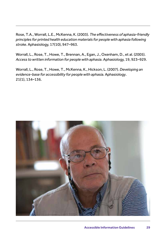Rose, T.A., Worrall, L.E., McKenna, K. (2003). *The effectiveness of aphasia-friendly principles for printed health education materials for people with aphasia following stroke.* Aphasiology, 17(10), 947–963.

Worrall, L., Rose, T., Howe, T., Brennan, A., Egan, J., Oxenham, D., et al. (2005). *Access to written information for people with aphasia*. Aphasiology, 19, 923–929.

Worrall, L., Rose, T., Howe, T., McKenna, K., Hickson, L. (2007). *Developing an evidence-base for accessibility for people with aphasia.* Aphasiology. 21(1), 134–136.

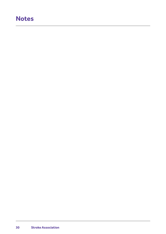## **Notes**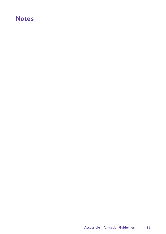## **Notes**